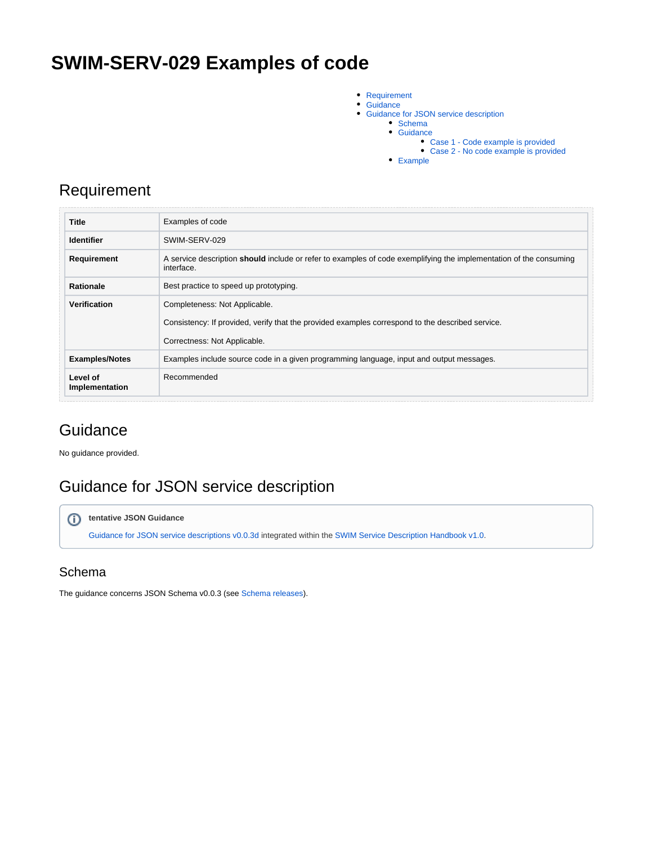# **SWIM-SERV-029 Examples of code**

- [Requirement](#page-0-0)  $\bullet$
- **[Guidance](#page-0-1)**
- Guidance for JSON service description
	- [Schema](#page-0-3)
	- [Guidance](#page-1-0)
		- [Case 1 Code example is provided](#page-1-1)
		- [Case 2 No code example is provided](#page-2-0)
	- [Example](#page-2-1)

### <span id="page-0-0"></span>Requirement

| <b>Title</b>               | Examples of code                                                                                                                 |
|----------------------------|----------------------------------------------------------------------------------------------------------------------------------|
| <b>Identifier</b>          | SWIM-SERV-029                                                                                                                    |
| Requirement                | A service description should include or refer to examples of code exemplifying the implementation of the consuming<br>interface. |
| <b>Rationale</b>           | Best practice to speed up prototyping.                                                                                           |
| Verification               | Completeness: Not Applicable.                                                                                                    |
|                            | Consistency: If provided, verify that the provided examples correspond to the described service.                                 |
|                            | Correctness: Not Applicable.                                                                                                     |
| <b>Examples/Notes</b>      | Examples include source code in a given programming language, input and output messages.                                         |
| Level of<br>Implementation | Recommended                                                                                                                      |

## <span id="page-0-1"></span>**Guidance**

No guidance provided.

# <span id="page-0-2"></span>Guidance for JSON service description

#### **tentative JSON Guidance**

[Guidance for JSON service descriptions v0.0.3d](https://ext.eurocontrol.int/swim_confluence/display/SWIM/Guidance+for+JSON+service+descriptions+v0.0.3d) integrated within the [SWIM Service Description Handbook v1.0.](https://ext.eurocontrol.int/swim_confluence/display/SWIM/SWIM+Service+Description+Handbook+v1.0)

### <span id="page-0-3"></span>Schema

The guidance concerns JSON Schema v0.0.3 (see [Schema releases](https://ext.eurocontrol.int/swim_confluence/display/SCOI/Schema+releases)).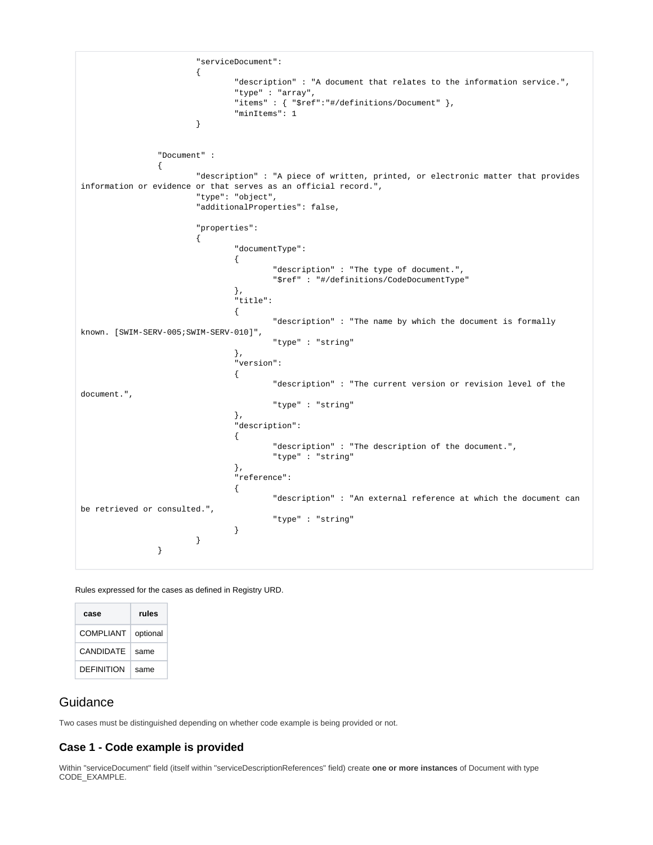```
 "serviceDocument":
\{ "description" : "A document that relates to the information service.",
                           "type" : "array",
                           "items" : { "$ref":"#/definitions/Document" },
                           "minItems": 1
 }
              "Document" : 
\{ "description" : "A piece of written, printed, or electronic matter that provides 
information or evidence or that serves as an official record.",
                    "type": "object",
                    "additionalProperties": false,
                    "properties":
\{ "documentType":
 {
                                 "description" : "The type of document.",
                                 "$ref" : "#/definitions/CodeDocumentType"
\} , we have the contract of \} ,
                           "title":
 {
                                 "description" : "The name by which the document is formally 
known. [SWIM-SERV-005;SWIM-SERV-010]",
                                 "type" : "string"
\} , we have the contract of \} ,
                           "version":
 {
                                 "description" : "The current version or revision level of the 
document.",
                                 "type" : "string"
\} , we have the contract of \} ,
                           "description":
 {
                                 "description" : "The description of the document.",
                                 "type" : "string"
\} , we have the contract of \} ,
                           "reference":
 {
                                 "description" : "An external reference at which the document can 
be retrieved or consulted.",
                                 "type" : "string"
 }
 }
 }
```
Rules expressed for the cases as defined in Registry URD.

| case              | rules    |
|-------------------|----------|
| COMPLIANT         | optional |
| CANDIDATE         | same     |
| <b>DEFINITION</b> | same     |

#### <span id="page-1-0"></span>**Guidance**

Two cases must be distinguished depending on whether code example is being provided or not.

#### <span id="page-1-1"></span>**Case 1 - Code example is provided**

Within "serviceDocument" field (itself within "serviceDescriptionReferences" field) create **one or more instances** of Document with type CODE\_EXAMPLE.

**O**